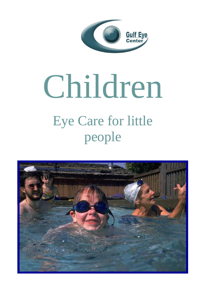

# Eye Care for little people Children

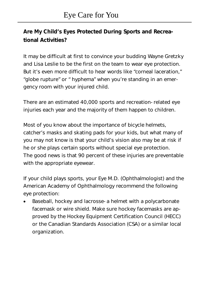### **Are My Child's Eyes Protected During Sports and Recreational Activities?**

It may be difficult at first to convince your budding Wayne Gretzky and Lisa Leslie to be the first on the team to wear eye protection. But it's even more difficult to hear words like "corneal laceration," "globe rupture" or " hyphema" when you're standing in an emergency room with your injured child.

There are an estimated 40,000 sports and recreation-related eye injuries each year and the majority of them happen to children.

Most of you know about the importance of bicycle helmets, catcher's masks and skating pads for your kids, but what many of you may not know is that your child's vision also may be at risk if he or she plays certain sports without special eye protection. The good news is that 90 percent of these injuries are preventable with the appropriate eyewear.

If your child plays sports, your Eye M.D. (Ophthalmologist) and the American Academy of Ophthalmology recommend the following eye protection:

 Baseball, hockey and lacrosse-a helmet with a polycarbonate facemask or wire shield. Make sure hockey facemasks are approved by the Hockey Equipment Certification Council (HECC) or the Canadian Standards Association (CSA) or a similar local organization.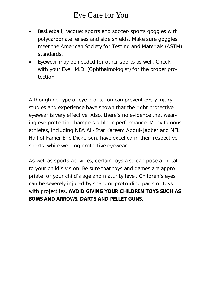- Basketball, racquet sports and soccer-sports goggles with polycarbonate lenses and side shields. Make sure goggles meet the American Society for Testing and Materials (ASTM) standards.
- Eyewear may be needed for other sports as well. Check with your Eye M.D. (Ophthalmologist) for the proper protection.

Although no type of eye protection can prevent every injury, studies and experience have shown that the right protective eyewear is very effective. Also, there's no evidence that wearing eye protection hampers athletic performance. Many famous athletes, including NBA All-Star Kareem Abdul-Jabber and NFL Hall of Famer Eric Dickerson, have excelled in their respective sports while wearing protective eyewear.

As well as sports activities, certain toys also can pose a threat to your child's vision. Be sure that toys and games are appropriate for your child's age and maturity level. Children's eyes can be severely injured by sharp or protruding parts or toys with projectiles. **AVOID GIVING YOUR CHILDREN TOYS SUCH AS BOWS AND ARROWS, DARTS AND PELLET GUNS.**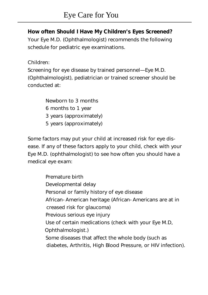#### **How often Should I Have My Children's Eyes Screened?**

Your Eye M.D. (Ophthalmologist) recommends the following schedule for pediatric eye examinations.

Children:

Screening for eye disease by trained personnel—Eye M.D. (Ophthalmologist), pediatrician or trained screener should be conducted at:

> Newborn to 3 months months to 1 year years (approximately) years (approximately)

Some factors may put your child at increased risk for eye disease. If any of these factors apply to your child, check with your Eye M.D. (ophthalmologist) to see how often you should have a medical eye exam:

> Premature birth Developmental delay Personal or family history of eye disease African-American heritage (African-Americans are at in creased risk for glaucoma) Previous serious eye injury Use of certain medications (check with your Eye M.D, Ophthalmologist.) Some diseases that affect the whole body (such as diabetes, Arthritis, High Blood Pressure, or HIV infection).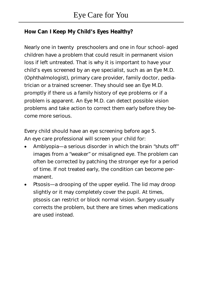#### **How Can I Keep My Child's Eyes Healthy?**

Nearly one in twenty preschoolers and one in four school-aged children have a problem that could result in permanent vision loss if left untreated. That is why it is important to have your child's eyes screened by an eye specialist, such as an Eye M.D. (Ophthalmologist), primary care provider, family doctor, pediatrician or a trained screener. They should see an Eye M.D. promptly if there us a family history of eye problems or if a problem is apparent. An Eye M.D. can detect possible vision problems and take action to correct them early before they become more serious.

Every child should have an eye screening before age 5. An eye care professional will screen your child for:

- Amblyopia—a serious disorder in which the brain "shuts off" images from a "weaker" or misaligned eye. The problem can often be corrected by patching the stronger eye for a period of time. If not treated early, the condition can become permanent.
- Ptsosis—a drooping of the upper eyelid. The lid may droop slightly or it may completely cover the pupil. At times, ptsosis can restrict or block normal vision. Surgery usually corrects the problem, but there are times when medications are used instead.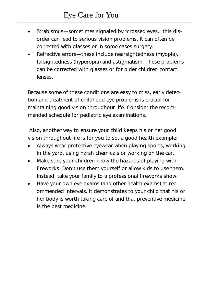## Eye Care for You

- Strabismus—sometimes signaled by "crossed eyes," this disorder can lead to serious vision problems. It can often be corrected with glasses or in some cases surgery.
- Refractive errors—these include nearsightedness (myopia), farsightedness (hyperopia) and astigmatism. These problems can be corrected with glasses or for older children contact lenses.

Because some of these conditions are easy to miss, early detection and treatment of childhood eye problems is crucial for maintaining good vision throughout life. Consider the recommended schedule for pediatric eye examinations.

Also, another way to ensure your child keeps his or her good vision throughout life is for you to set a good health example:

- Always wear protective eyewear when playing sports, working in the yard, using harsh chemicals or working on the car.
- Make sure your children know the hazards of playing with fireworks. Don't use them yourself or allow kids to use them. Instead, take your family to a professional fireworks show.
- Have your own eye exams (and other health exams) at recommended intervals. It demonstrates to your child that his or her body is worth taking care of and that preventive medicine is the best medicine.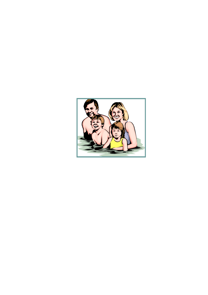